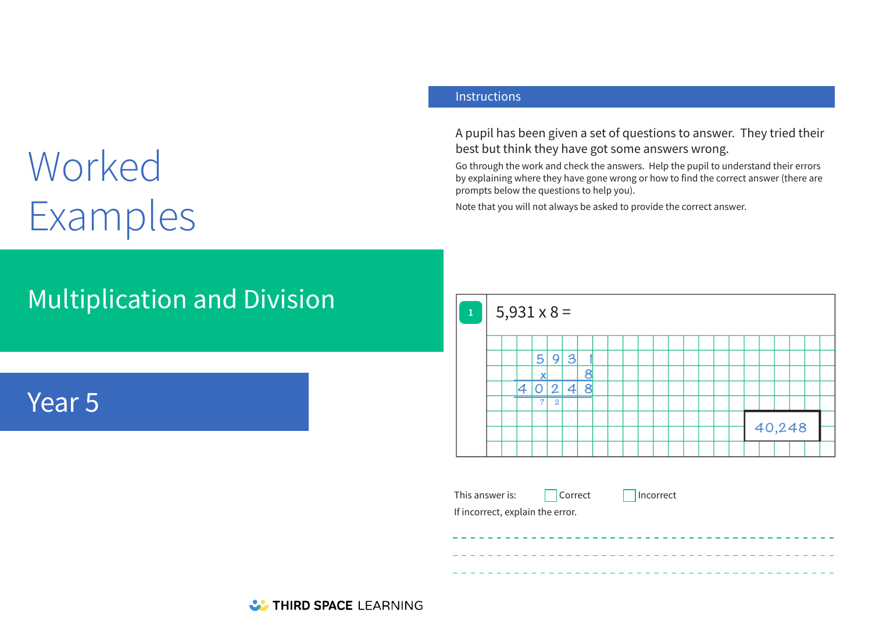# Worked Examples

#### **Instructions**

A pupil has been given a set of questions to answer. They tried their best but think they have got some answers wrong.

Go through the work and check the answers. Help the pupil to understand their errors by explaining where they have gone wrong or how to find the correct answer (there are prompts below the questions to help you).

Note that you will not always be asked to provide the correct answer.

## Multiplication and Division

## Year 5



This answer is:  $\Box$  Correct  $\Box$  Incorrect

If incorrect, explain the error.

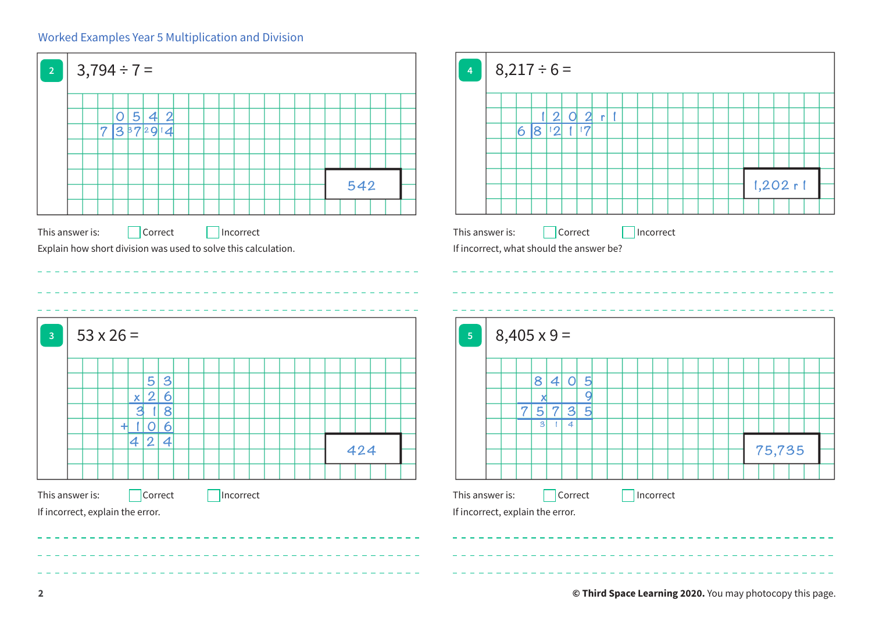#### Worked Examples Year 5 Multiplication and Division

| $\overline{2}$          | $3,794 \div 7 =$                                               |          |                        |                          |  |  |           |  |  |  |  |  |  | $\overline{4}$ |  | $8,217 \div 6 =$ |                                                     |                    |                     |                 |                |                                   |  |           |  |  |  |  |             |  |
|-------------------------|----------------------------------------------------------------|----------|------------------------|--------------------------|--|--|-----------|--|--|--|--|--|--|----------------|--|------------------|-----------------------------------------------------|--------------------|---------------------|-----------------|----------------|-----------------------------------|--|-----------|--|--|--|--|-------------|--|
|                         |                                                                | 73372914 |                        | 0 5 4 2                  |  |  |           |  |  |  |  |  |  |                |  |                  |                                                     |                    | 68 2 1 7            | 12021           |                |                                   |  |           |  |  |  |  |             |  |
|                         |                                                                |          |                        |                          |  |  |           |  |  |  |  |  |  |                |  |                  |                                                     |                    |                     |                 |                |                                   |  |           |  |  |  |  |             |  |
|                         |                                                                |          |                        |                          |  |  |           |  |  |  |  |  |  | 542            |  |                  |                                                     |                    |                     |                 |                |                                   |  |           |  |  |  |  | $1,202$ r 1 |  |
|                         | Explain how short division was used to solve this calculation. |          |                        |                          |  |  |           |  |  |  |  |  |  |                |  |                  | If incorrect, what should the answer be?            |                    |                     |                 |                |                                   |  |           |  |  |  |  |             |  |
| $\overline{\mathbf{3}}$ | $53 \times 26 =$                                               |          |                        |                          |  |  |           |  |  |  |  |  |  |                |  | $\sqrt{5}$       |                                                     | $8,405 \times 9 =$ |                     |                 |                |                                   |  |           |  |  |  |  |             |  |
|                         |                                                                |          |                        | $\vert 3 \vert$<br>5     |  |  |           |  |  |  |  |  |  |                |  |                  |                                                     |                    | $ \mathbf{8} $      | $\vert 4 \vert$ |                | 0 5                               |  |           |  |  |  |  |             |  |
|                         |                                                                |          | x 2 <br>$\overline{3}$ | $\overline{6}$<br>18     |  |  |           |  |  |  |  |  |  |                |  |                  |                                                     | $\overline{7}$     | X<br>$\overline{5}$ | $\overline{7}$  |                | $\overline{9}$<br>$3\overline{5}$ |  |           |  |  |  |  |             |  |
|                         |                                                                |          | 4 2                    | $+106$<br>$\overline{4}$ |  |  |           |  |  |  |  |  |  | 424            |  |                  |                                                     |                    | $\overline{3}$      | - 1             | $\overline{4}$ |                                   |  |           |  |  |  |  | 75,735      |  |
|                         |                                                                |          |                        |                          |  |  |           |  |  |  |  |  |  |                |  |                  |                                                     |                    |                     |                 |                |                                   |  |           |  |  |  |  |             |  |
|                         |                                                                |          |                        |                          |  |  |           |  |  |  |  |  |  |                |  |                  |                                                     |                    |                     |                 |                |                                   |  |           |  |  |  |  |             |  |
|                         | This answer is:<br>If incorrect, explain the error.            |          |                        | Correct                  |  |  | Incorrect |  |  |  |  |  |  |                |  |                  | This answer is:<br>If incorrect, explain the error. |                    |                     |                 | Correct        |                                   |  | Incorrect |  |  |  |  |             |  |